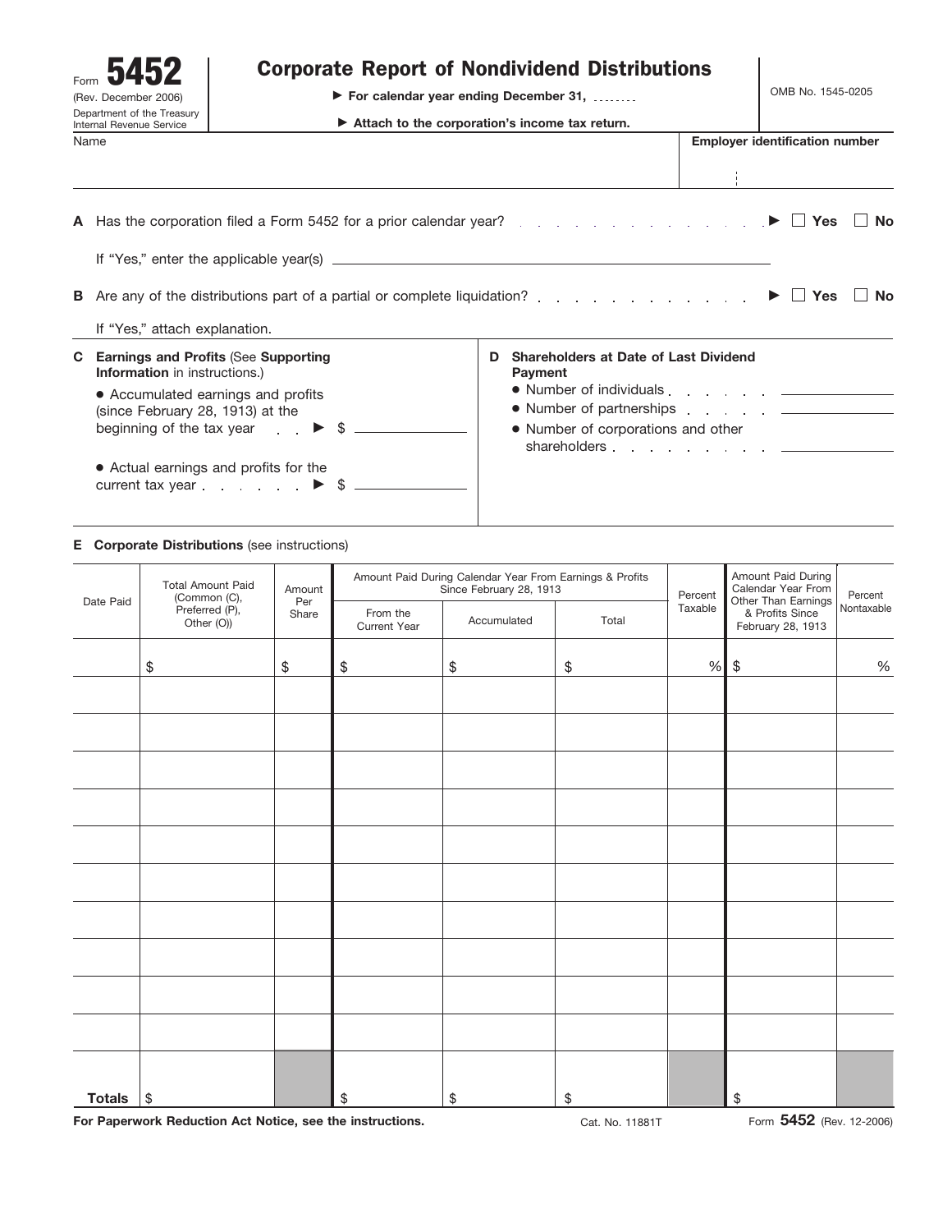| Form<br>(Rev. December 2006)<br>Department of the Treasury<br><b>Internal Revenue Service</b> |                                                                                                                                                                                                                                                                                                                          | <b>Corporate Report of Nondividend Distributions</b><br>▶ For calendar year ending December 31, | OMB No. 1545-0205 |   |                                                                                                                                                                                                                                                                                                                                                                                                        |  |                                       |        |
|-----------------------------------------------------------------------------------------------|--------------------------------------------------------------------------------------------------------------------------------------------------------------------------------------------------------------------------------------------------------------------------------------------------------------------------|-------------------------------------------------------------------------------------------------|-------------------|---|--------------------------------------------------------------------------------------------------------------------------------------------------------------------------------------------------------------------------------------------------------------------------------------------------------------------------------------------------------------------------------------------------------|--|---------------------------------------|--------|
| Name                                                                                          |                                                                                                                                                                                                                                                                                                                          |                                                                                                 |                   |   |                                                                                                                                                                                                                                                                                                                                                                                                        |  | <b>Employer identification number</b> |        |
|                                                                                               | A Has the corporation filed a Form 5452 for a prior calendar year? $\blacktriangleright \Box$ Yes                                                                                                                                                                                                                        |                                                                                                 |                   |   |                                                                                                                                                                                                                                                                                                                                                                                                        |  |                                       | ∣ I No |
|                                                                                               | If "Yes," attach explanation.                                                                                                                                                                                                                                                                                            |                                                                                                 |                   |   | <b>B</b> Are any of the distributions part of a partial or complete liquidation?                                                                                                                                                                                                                                                                                                                       |  | $\blacktriangleright$   Yes           | No     |
|                                                                                               | <b>C</b> Earnings and Profits (See Supporting<br><b>Information</b> in instructions.)<br>• Accumulated earnings and profits<br>(since February 28, 1913) at the<br>beginning of the tax year $\qquad \qquad$ $\blacktriangleright$ \$ ______<br>• Actual earnings and profits for the<br>current tax year $\blacksquare$ |                                                                                                 |                   | D | <b>Shareholders at Date of Last Dividend</b><br>Payment<br>• Number of individuals example and the set of the set of the set of the set of the set of the set of the set o<br>• Number of partnerships experience and the example of partnerships and the example of the Number of December 2014<br>• Number of corporations and other<br>shareholders experience and the contract of the shareholders |  |                                       |        |

#### **E Corporate Distributions** (see instructions)

| Date Paid     | <b>Total Amount Paid</b><br>(Common (C), | Amount<br>Per |                          | Amount Paid During Calendar Year From Earnings & Profits<br>Since February 28, 1913 | Percent | Amount Paid During<br>Calendar Year From<br>Other Than Earnings | Percent<br>Nontaxable |                                      |
|---------------|------------------------------------------|---------------|--------------------------|-------------------------------------------------------------------------------------|---------|-----------------------------------------------------------------|-----------------------|--------------------------------------|
|               | Preferred (P),<br>Other (O))             | Share         | From the<br>Current Year | Accumulated<br>Total                                                                |         | Taxable                                                         |                       | & Profits Since<br>February 28, 1913 |
|               | \$                                       | \$            | \$                       | $\$$                                                                                | $\$\,$  | %                                                               | $$\mathbb{S}$$        | $\%$                                 |
|               |                                          |               |                          |                                                                                     |         |                                                                 |                       |                                      |
|               |                                          |               |                          |                                                                                     |         |                                                                 |                       |                                      |
|               |                                          |               |                          |                                                                                     |         |                                                                 |                       |                                      |
|               |                                          |               |                          |                                                                                     |         |                                                                 |                       |                                      |
|               |                                          |               |                          |                                                                                     |         |                                                                 |                       |                                      |
|               |                                          |               |                          |                                                                                     |         |                                                                 |                       |                                      |
|               |                                          |               |                          |                                                                                     |         |                                                                 |                       |                                      |
|               |                                          |               |                          |                                                                                     |         |                                                                 |                       |                                      |
|               |                                          |               |                          |                                                                                     |         |                                                                 |                       |                                      |
|               |                                          |               |                          |                                                                                     |         |                                                                 |                       |                                      |
|               |                                          |               |                          |                                                                                     |         |                                                                 |                       |                                      |
| <b>Totals</b> | $\sqrt{3}$                               |               | \$                       | \$                                                                                  | \$      |                                                                 | \$                    |                                      |

For Paperwork Reduction Act Notice, see the instructions. **Cat. No. 11881T** Cat. No. 11881T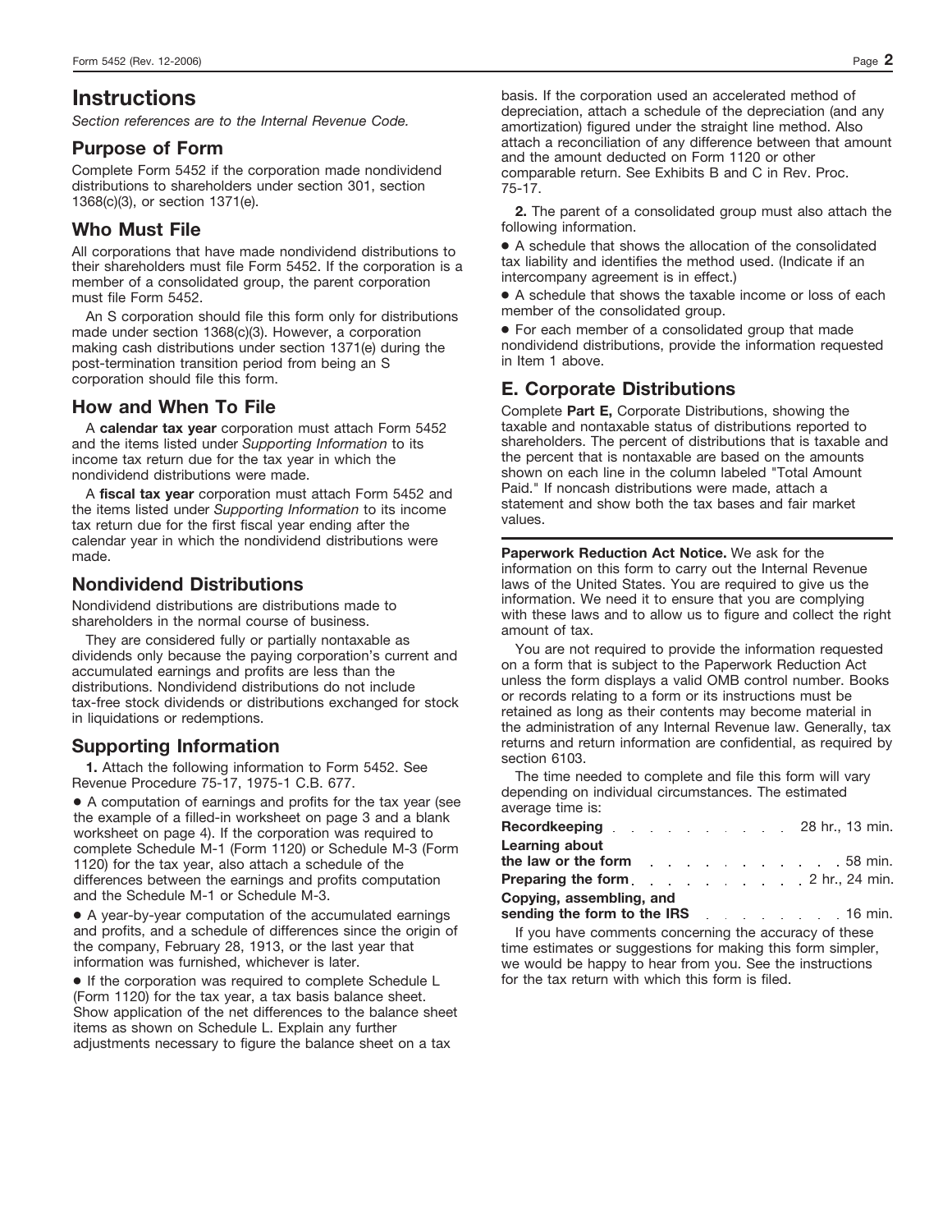# **Instructions**

*Section references are to the Internal Revenue Code.*

#### **Purpose of Form**

Complete Form 5452 if the corporation made nondividend distributions to shareholders under section 301, section 1368(c)(3), or section 1371(e).

## **Who Must File**

All corporations that have made nondividend distributions to their shareholders must file Form 5452. If the corporation is a member of a consolidated group, the parent corporation must file Form 5452.

An S corporation should file this form only for distributions made under section 1368(c)(3). However, a corporation making cash distributions under section 1371(e) during the post-termination transition period from being an S corporation should file this form.

#### **How and When To File**

A **calendar tax year** corporation must attach Form 5452 and the items listed under *Supporting Information* to its income tax return due for the tax year in which the nondividend distributions were made.

A **fiscal tax year** corporation must attach Form 5452 and the items listed under *Supporting Information* to its income tax return due for the first fiscal year ending after the calendar year in which the nondividend distributions were made.

# **Nondividend Distributions**

Nondividend distributions are distributions made to shareholders in the normal course of business.

They are considered fully or partially nontaxable as dividends only because the paying corporation's current and accumulated earnings and profits are less than the distributions. Nondividend distributions do not include tax-free stock dividends or distributions exchanged for stock in liquidations or redemptions.

#### **Supporting Information**

**1.** Attach the following information to Form 5452. See Revenue Procedure 75-17, 1975-1 C.B. 677.

● A computation of earnings and profits for the tax year (see the example of a filled-in worksheet on page 3 and a blank worksheet on page 4). If the corporation was required to complete Schedule M-1 (Form 1120) or Schedule M-3 (Form 1120) for the tax year, also attach a schedule of the differences between the earnings and profits computation and the Schedule M-1 or Schedule M-3.

● A year-by-year computation of the accumulated earnings and profits, and a schedule of differences since the origin of the company, February 28, 1913, or the last year that information was furnished, whichever is later.

● If the corporation was required to complete Schedule L (Form 1120) for the tax year, a tax basis balance sheet. Show application of the net differences to the balance sheet items as shown on Schedule L. Explain any further adjustments necessary to figure the balance sheet on a tax

basis. If the corporation used an accelerated method of depreciation, attach a schedule of the depreciation (and any amortization) figured under the straight line method. Also attach a reconciliation of any difference between that amount and the amount deducted on Form 1120 or other comparable return. See Exhibits B and C in Rev. Proc. 75-17.

**2.** The parent of a consolidated group must also attach the following information.

● A schedule that shows the allocation of the consolidated tax liability and identifies the method used. (Indicate if an intercompany agreement is in effect.)

● A schedule that shows the taxable income or loss of each member of the consolidated group.

● For each member of a consolidated group that made nondividend distributions, provide the information requested in Item 1 above.

## **E. Corporate Distributions**

Complete **Part E,** Corporate Distributions, showing the taxable and nontaxable status of distributions reported to shareholders. The percent of distributions that is taxable and the percent that is nontaxable are based on the amounts shown on each line in the column labeled "Total Amount Paid." If noncash distributions were made, attach a statement and show both the tax bases and fair market values.

**Paperwork Reduction Act Notice.** We ask for the information on this form to carry out the Internal Revenue laws of the United States. You are required to give us the information. We need it to ensure that you are complying with these laws and to allow us to figure and collect the right amount of tax.

You are not required to provide the information requested on a form that is subject to the Paperwork Reduction Act unless the form displays a valid OMB control number. Books or records relating to a form or its instructions must be retained as long as their contents may become material in the administration of any Internal Revenue law. Generally, tax returns and return information are confidential, as required by section 6103.

The time needed to complete and file this form will vary depending on individual circumstances. The estimated average time is:

| <b>Recordkeeping</b> 28 hr., 13 min.                                   |  |  |  |  |  |
|------------------------------------------------------------------------|--|--|--|--|--|
| <b>Learning about</b>                                                  |  |  |  |  |  |
| the law or the form entitled and the law or the form                   |  |  |  |  |  |
| <b>Preparing the form</b> enterprise on the case of the 2 hr., 24 min. |  |  |  |  |  |
| Copying, assembling, and                                               |  |  |  |  |  |
| sending the form to the IRS example and the 16 min.                    |  |  |  |  |  |

If you have comments concerning the accuracy of these time estimates or suggestions for making this form simpler, we would be happy to hear from you. See the instructions for the tax return with which this form is filed.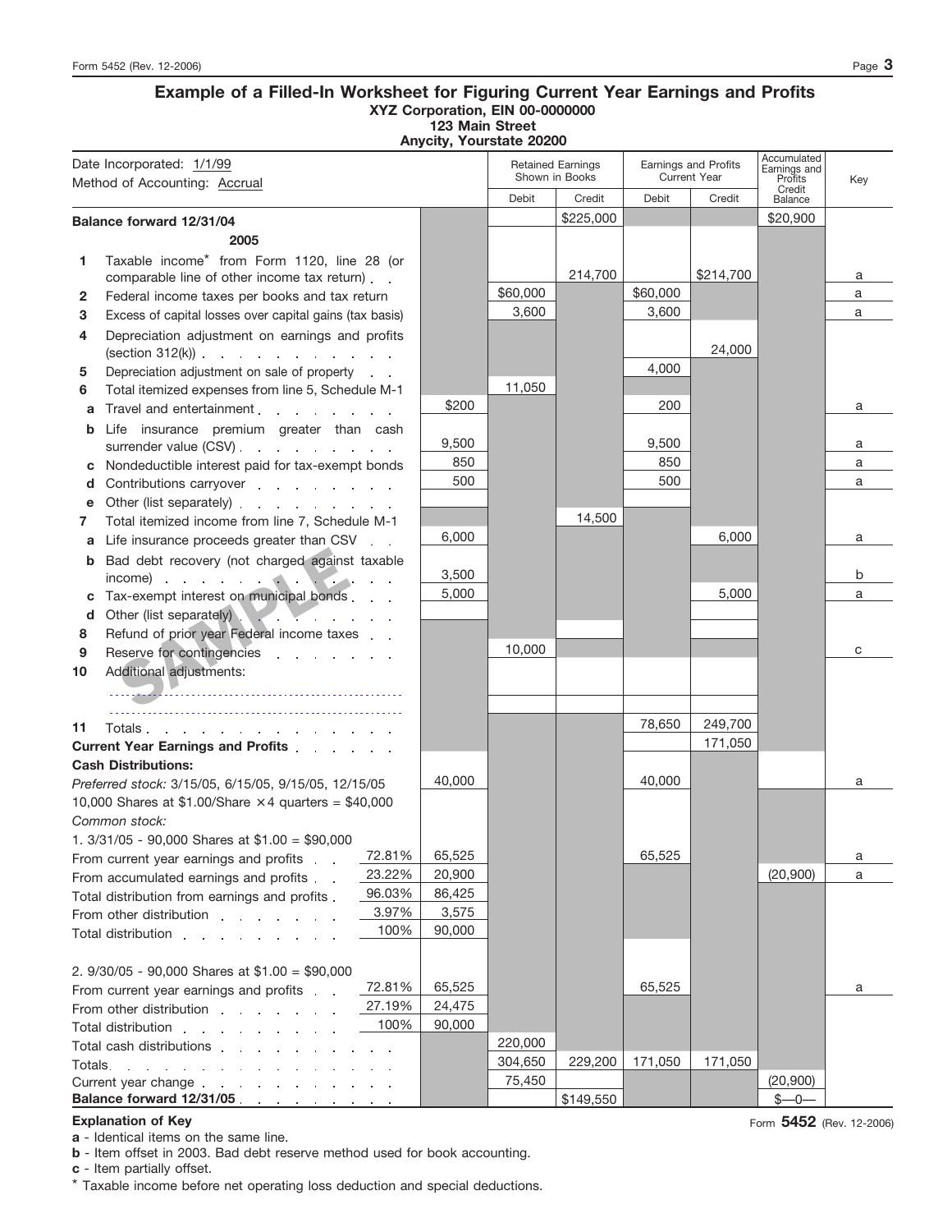#### **Example of a Filled-In Worksheet for Figuring Current Year Earnings and Profits XYZ Corporation, EIN 00-0000000 123 Main Street**

**Anycity, Yourstate 20200**

| Date Incorporated: 1/1/99<br>Method of Accounting: Accrual |                                                                                                                                                                                                                                |        | <b>Retained Earnings</b><br>Shown in Books |           | Earnings and Profits<br><b>Current Year</b> |           | Accumulated<br>Earnings and<br>Profits<br>Credit | Key |
|------------------------------------------------------------|--------------------------------------------------------------------------------------------------------------------------------------------------------------------------------------------------------------------------------|--------|--------------------------------------------|-----------|---------------------------------------------|-----------|--------------------------------------------------|-----|
|                                                            |                                                                                                                                                                                                                                |        | Debit                                      | Credit    | Debit                                       | Credit    | Balance                                          |     |
|                                                            | Balance forward 12/31/04                                                                                                                                                                                                       |        |                                            | \$225,000 |                                             |           | \$20,900                                         |     |
|                                                            | 2005                                                                                                                                                                                                                           |        |                                            |           |                                             |           |                                                  |     |
|                                                            | Taxable income* from Form 1120, line 28 (or                                                                                                                                                                                    |        |                                            |           |                                             |           |                                                  |     |
| 1                                                          | comparable line of other income tax return).                                                                                                                                                                                   |        |                                            | 214,700   |                                             | \$214,700 |                                                  | а   |
| 2                                                          | Federal income taxes per books and tax return                                                                                                                                                                                  |        | \$60,000                                   |           | \$60,000                                    |           |                                                  | a   |
| 3                                                          | Excess of capital losses over capital gains (tax basis)                                                                                                                                                                        |        | 3,600                                      |           | 3,600                                       |           |                                                  | a   |
| 4                                                          | Depreciation adjustment on earnings and profits                                                                                                                                                                                |        |                                            |           |                                             |           |                                                  |     |
|                                                            | $(\text{section } 312(k))$ $\ldots$ $\ldots$ $\ldots$ $\ldots$                                                                                                                                                                 |        |                                            |           |                                             | 24,000    |                                                  |     |
| 5                                                          | Depreciation adjustment on sale of property                                                                                                                                                                                    |        |                                            |           | 4,000                                       |           |                                                  |     |
| 6                                                          | Total itemized expenses from line 5, Schedule M-1                                                                                                                                                                              |        | 11,050                                     |           |                                             |           |                                                  |     |
| a                                                          | Travel and entertainment                                                                                                                                                                                                       | \$200  |                                            |           | 200                                         |           |                                                  | a   |
| b                                                          | Life insurance premium greater than cash                                                                                                                                                                                       |        |                                            |           |                                             |           |                                                  |     |
|                                                            | surrender value (CSV).                                                                                                                                                                                                         | 9,500  |                                            |           | 9,500                                       |           |                                                  | a   |
| c                                                          | Nondeductible interest paid for tax-exempt bonds                                                                                                                                                                               | 850    |                                            |           | 850                                         |           |                                                  | a   |
| d                                                          | Contributions carryover                                                                                                                                                                                                        | 500    |                                            |           | 500                                         |           |                                                  | a   |
| е                                                          | Other (list separately)                                                                                                                                                                                                        |        |                                            |           |                                             |           |                                                  |     |
| 7                                                          | Total itemized income from line 7, Schedule M-1                                                                                                                                                                                |        |                                            | 14,500    |                                             |           |                                                  |     |
| a                                                          | Life insurance proceeds greater than CSV                                                                                                                                                                                       | 6,000  |                                            |           |                                             | 6,000     |                                                  | a   |
| b                                                          | Bad debt recovery (not charged against taxable                                                                                                                                                                                 |        |                                            |           |                                             |           |                                                  |     |
|                                                            |                                                                                                                                                                                                                                | 3,500  |                                            |           |                                             |           |                                                  | b   |
|                                                            | Tax-exempt interest on municipal bonds                                                                                                                                                                                         | 5,000  |                                            |           |                                             | 5,000     |                                                  | a   |
| d                                                          | Other (list separately)                                                                                                                                                                                                        |        |                                            |           |                                             |           |                                                  |     |
| 8                                                          | Refund of prior year Federal income taxes                                                                                                                                                                                      |        |                                            |           |                                             |           |                                                  |     |
| 9                                                          | Reserve for contingencies                                                                                                                                                                                                      |        | 10,000                                     |           |                                             |           |                                                  | с   |
| 10                                                         | Additional adjustments:                                                                                                                                                                                                        |        |                                            |           |                                             |           |                                                  |     |
|                                                            |                                                                                                                                                                                                                                |        |                                            |           |                                             |           |                                                  |     |
|                                                            |                                                                                                                                                                                                                                |        |                                            |           |                                             |           |                                                  |     |
| 11                                                         | Totals                                                                                                                                                                                                                         |        |                                            |           | 78,650                                      | 249,700   |                                                  |     |
|                                                            | Current Year Earnings and Profits                                                                                                                                                                                              |        |                                            |           |                                             | 171,050   |                                                  |     |
|                                                            | <b>Cash Distributions:</b>                                                                                                                                                                                                     |        |                                            |           |                                             |           |                                                  |     |
|                                                            | Preferred stock: 3/15/05, 6/15/05, 9/15/05, 12/15/05                                                                                                                                                                           | 40,000 |                                            |           | 40.000                                      |           |                                                  | a   |
|                                                            | 10,000 Shares at \$1.00/Share $\times$ 4 quarters = \$40,000                                                                                                                                                                   |        |                                            |           |                                             |           |                                                  |     |
|                                                            | Common stock:                                                                                                                                                                                                                  |        |                                            |           |                                             |           |                                                  |     |
|                                                            | 1. $3/31/05$ - 90,000 Shares at \$1.00 = \$90,000                                                                                                                                                                              |        |                                            |           |                                             |           |                                                  |     |
|                                                            | 72.81%<br>From current year earnings and profits.                                                                                                                                                                              | 65,525 |                                            |           | 65,525                                      |           |                                                  | а   |
|                                                            | 23.22%<br>From accumulated earnings and profits                                                                                                                                                                                | 20,900 |                                            |           |                                             |           | (20, 900)                                        | a   |
|                                                            | 96.03%<br>Total distribution from earnings and profits.                                                                                                                                                                        | 86,425 |                                            |           |                                             |           |                                                  |     |
|                                                            | 3.97%<br>From other distribution example to the state of the state of the state of the state of the state of the state o                                                                                                       | 3,575  |                                            |           |                                             |           |                                                  |     |
|                                                            | 100%<br>Total distribution research and research and research and research and research and research and research and                                                                                                          | 90,000 |                                            |           |                                             |           |                                                  |     |
|                                                            |                                                                                                                                                                                                                                |        |                                            |           |                                             |           |                                                  |     |
| 2. $9/30/05$ - 90,000 Shares at \$1.00 = \$90,000          |                                                                                                                                                                                                                                |        |                                            |           |                                             |           |                                                  |     |
|                                                            | 72.81%<br>From current year earnings and profits                                                                                                                                                                               | 65,525 |                                            |           | 65,525                                      |           |                                                  | a   |
| 27.19%<br>From other distribution                          |                                                                                                                                                                                                                                | 24,475 |                                            |           |                                             |           |                                                  |     |
| 100%<br>Total distribution                                 |                                                                                                                                                                                                                                | 90,000 |                                            |           |                                             |           |                                                  |     |
|                                                            | Total cash distributions extended to the set of the set of the set of the set of the set of the set of the set of the set of the set of the set of the set of the set of the set of the set of the set of the set of the set o |        | 220,000                                    |           |                                             |           |                                                  |     |
| Totals.                                                    | the contract of the contract of the contract of the con-                                                                                                                                                                       |        | 304,650                                    | 229,200   | 171,050                                     | 171,050   |                                                  |     |
|                                                            | Current year change expansion of the state of the contract of the contract of the contract of the contract of the contract of the contract of the contract of the contract of the contract of the contract of the contract of  |        | 75,450                                     |           |                                             |           | (20,900)                                         |     |
|                                                            | Balance forward 12/31/05 and the contract of the state of the state of the state of the state of the state of the state of the state of the state of the state of the state of the state of the state of the state of the stat |        |                                            | \$149,550 |                                             |           | $$ -0 -$                                         |     |

#### **Explanation of Key**

**a** - Identical items on the same line.

**b** - Item offset in 2003. Bad debt reserve method used for book accounting.

**c** - Item partially offset.

\* Taxable income before net operating loss deduction and special deductions.

Form **5452** (Rev. 12-2006)